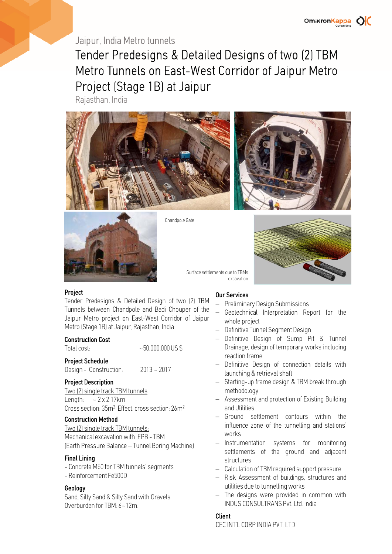## Jaipur, India Metro tunnels

Tender Predesigns & Detailed Designs of two (2) TBM Metro Tunnels on East-West Corridor of Jaipur Metro Project (Stage 1B) at Jaipur

Rajasthan, India







Chandpole Gate



#### Project

Tender Predesigns & Detailed Design of two (2) TBM Tunnels between Chandpole and Badi Chouper of the Jaipur Metro project on East-West Corridor of Jaipur Metro (Stage 1B) at Jaipur, Rajasthan, India.

#### Construction Cost

| Total cost: | $~1000,000000005$ \$ |
|-------------|----------------------|
|             |                      |

#### Project Schedule

Design - Construction: 2013 ~ 2017

#### Project Description

Two (2) single track TBM tunnels Length:  $\sim 2 \times 2.17$ km Cross section: 35m<sup>2</sup> Effect. cross section: 26m<sup>2</sup>

#### Construction Method

Two (2) single track TBM tunnels: Mechanical excavation with EPB - TBM (Earth Pressure Balance – Tunnel Boring Machine)

#### Final Lining

- Concrete M50 for TBM tunnels' segments - Reinforcement Fe500D

#### Geology

Sand, Silty Sand & Silty Sand with Gravels Overburden for TBM: 6~12m.

#### Our Services

excavation

Surface settlements due to TBMs

- Preliminary Design Submissions
- Geotechnical Interpretation Report for the whole project
- Definitive Tunnel Segment Design
- Definitive Design of Sump Pit & Tunnel Drainage, design of temporary works including reaction frame
- Definitive Design of connection details with launching & retrieval shaft
- Starting-up frame design & TBM break through methodology
- Assessment and protection of Existing Building and Utilities
- Ground settlement contours within the influence zone of the tunnelling and stations' works
- Instrumentation systems for monitoring settlements of the ground and adjacent structures
- Calculation of TBM required support pressure
- Risk Assessment of buildings, structures and utilities due to tunnelling works
- The designs were provided in common with INDUS CONSULTRANS Pvt. Ltd. India

#### Client

CEC INT'L CORP INDIA PVT. LTD.